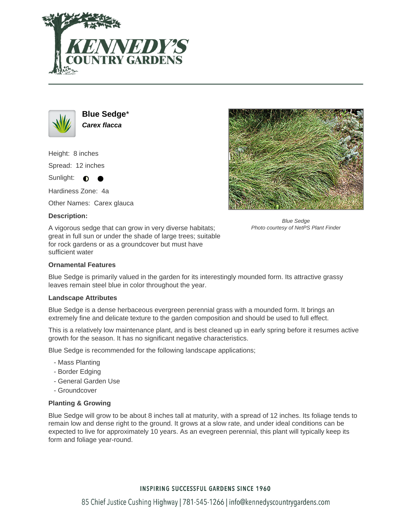



**Blue Sedge**\* **Carex flacca**

Height: 8 inches Spread: 12 inches

Sunlight:  $\bullet$ 

Hardiness Zone: 4a

Other Names: Carex glauca

# **Description:**

A vigorous sedge that can grow in very diverse habitats; great in full sun or under the shade of large trees; suitable for rock gardens or as a groundcover but must have sufficient water



Blue Sedge Photo courtesy of NetPS Plant Finder

## **Ornamental Features**

Blue Sedge is primarily valued in the garden for its interestingly mounded form. Its attractive grassy leaves remain steel blue in color throughout the year.

### **Landscape Attributes**

Blue Sedge is a dense herbaceous evergreen perennial grass with a mounded form. It brings an extremely fine and delicate texture to the garden composition and should be used to full effect.

This is a relatively low maintenance plant, and is best cleaned up in early spring before it resumes active growth for the season. It has no significant negative characteristics.

Blue Sedge is recommended for the following landscape applications;

- Mass Planting
- Border Edging
- General Garden Use
- Groundcover

# **Planting & Growing**

Blue Sedge will grow to be about 8 inches tall at maturity, with a spread of 12 inches. Its foliage tends to remain low and dense right to the ground. It grows at a slow rate, and under ideal conditions can be expected to live for approximately 10 years. As an evegreen perennial, this plant will typically keep its form and foliage year-round.

# **INSPIRING SUCCESSFUL GARDENS SINCE 1960**